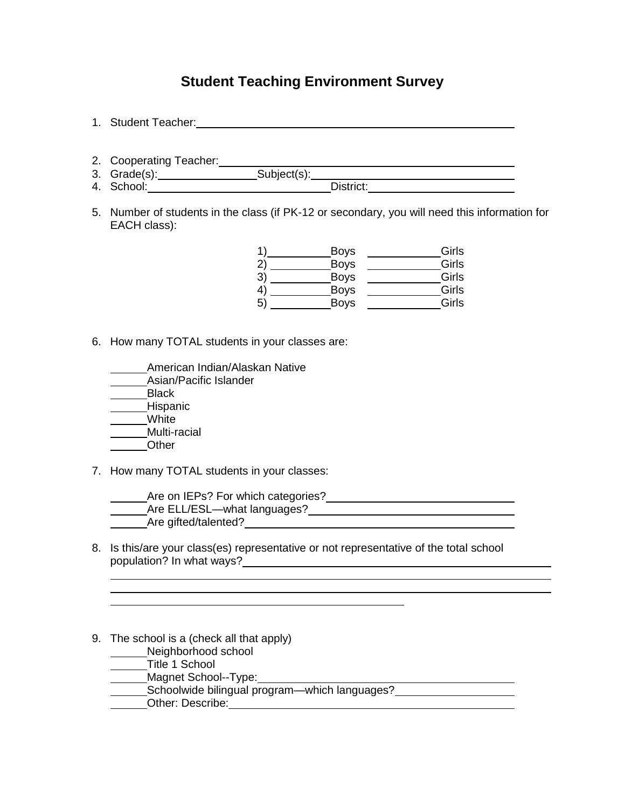## **Student Teaching Environment Survey**

- 1. Student Teacher: 2. Cooperating Teacher: 3. Grade(s): Subject(s): 4. School: District:
- 5. Number of students in the class (if PK-12 or secondary, you will need this information for EACH class):

|              | <b>Boys</b> | Girls |
|--------------|-------------|-------|
| $\mathbf{2}$ | Boys        | Girls |
| 3)           | Boys        | Girls |
| 4)           | <b>Boys</b> | Girls |
| 5)           | Boys        | Girls |

- 6. How many TOTAL students in your classes are:
	- American Indian/Alaskan Native
	- Asian/Pacific Islander
	- **Black**
	- Hispanic
	- White
	- Multi-racial **Other**
- 7. How many TOTAL students in your classes:

| Are on IEPs? For which categories? |  |
|------------------------------------|--|
| _Are ELL/ESL—what languages?       |  |
| Are gifted/talented?               |  |

- 8. Is this/are your class(es) representative or not representative of the total school population? In what ways?
- 9. The school is a (check all that apply)
	- Neighborhood school
	- Title 1 School
	- Magnet School--Type:
	- Schoolwide bilingual program—which languages?
	- Other: Describe: